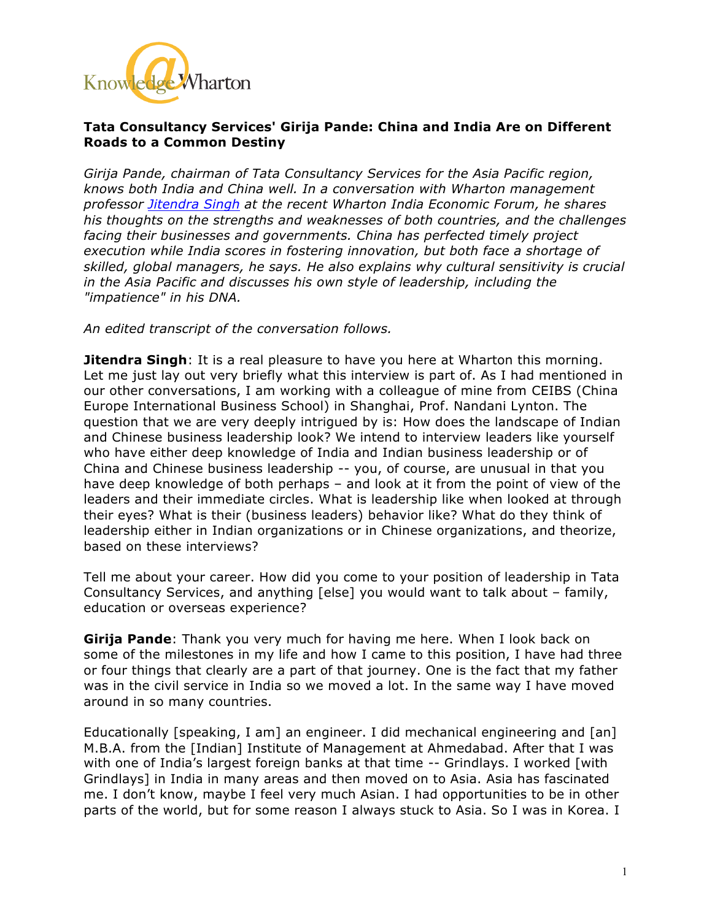

## **Tata Consultancy Services' Girija Pande: China and India Are on Different Roads to a Common Destiny**

*Girija Pande, chairman of Tata Consultancy Services for the Asia Pacific region, knows both India and China well. In a conversation with Wharton management professor Jitendra Singh at the recent Wharton India Economic Forum, he shares his thoughts on the strengths and weaknesses of both countries, and the challenges facing their businesses and governments. China has perfected timely project execution while India scores in fostering innovation, but both face a shortage of skilled, global managers, he says. He also explains why cultural sensitivity is crucial in the Asia Pacific and discusses his own style of leadership, including the "impatience" in his DNA.*

*An edited transcript of the conversation follows.*

**Jitendra Singh**: It is a real pleasure to have you here at Wharton this morning. Let me just lay out very briefly what this interview is part of. As I had mentioned in our other conversations, I am working with a colleague of mine from CEIBS (China Europe International Business School) in Shanghai, Prof. Nandani Lynton. The question that we are very deeply intrigued by is: How does the landscape of Indian and Chinese business leadership look? We intend to interview leaders like yourself who have either deep knowledge of India and Indian business leadership or of China and Chinese business leadership -- you, of course, are unusual in that you have deep knowledge of both perhaps – and look at it from the point of view of the leaders and their immediate circles. What is leadership like when looked at through their eyes? What is their (business leaders) behavior like? What do they think of leadership either in Indian organizations or in Chinese organizations, and theorize, based on these interviews?

Tell me about your career. How did you come to your position of leadership in Tata Consultancy Services, and anything [else] you would want to talk about – family, education or overseas experience?

**Girija Pande**: Thank you very much for having me here. When I look back on some of the milestones in my life and how I came to this position, I have had three or four things that clearly are a part of that journey. One is the fact that my father was in the civil service in India so we moved a lot. In the same way I have moved around in so many countries.

Educationally [speaking, I am] an engineer. I did mechanical engineering and [an] M.B.A. from the [Indian] Institute of Management at Ahmedabad. After that I was with one of India's largest foreign banks at that time -- Grindlays. I worked [with Grindlays] in India in many areas and then moved on to Asia. Asia has fascinated me. I don't know, maybe I feel very much Asian. I had opportunities to be in other parts of the world, but for some reason I always stuck to Asia. So I was in Korea. I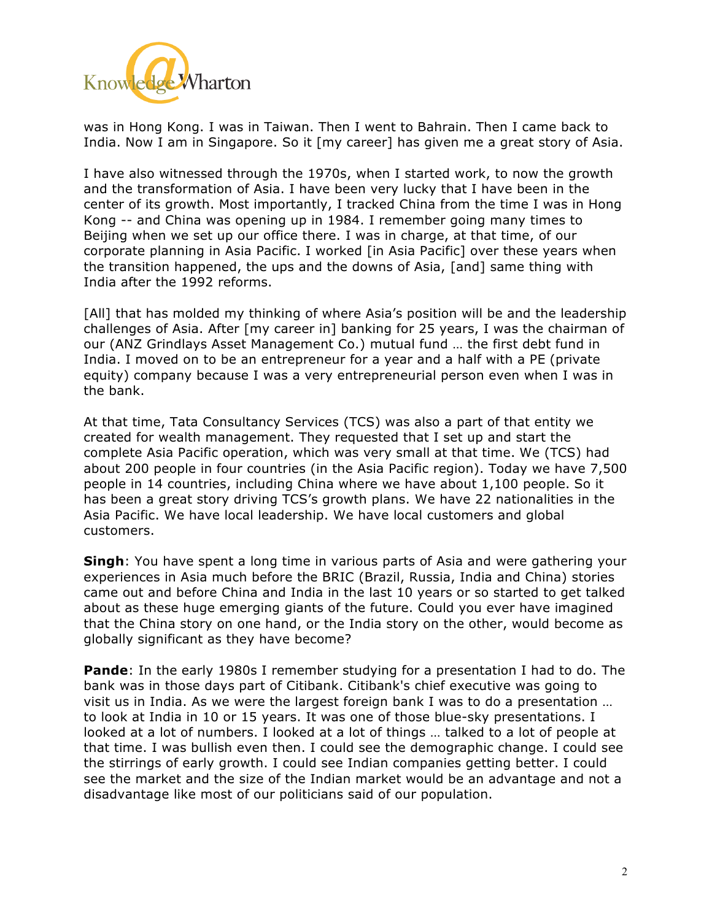

was in Hong Kong. I was in Taiwan. Then I went to Bahrain. Then I came back to India. Now I am in Singapore. So it [my career] has given me a great story of Asia.

I have also witnessed through the 1970s, when I started work, to now the growth and the transformation of Asia. I have been very lucky that I have been in the center of its growth. Most importantly, I tracked China from the time I was in Hong Kong -- and China was opening up in 1984. I remember going many times to Beijing when we set up our office there. I was in charge, at that time, of our corporate planning in Asia Pacific. I worked [in Asia Pacific] over these years when the transition happened, the ups and the downs of Asia, [and] same thing with India after the 1992 reforms.

[All] that has molded my thinking of where Asia's position will be and the leadership challenges of Asia. After [my career in] banking for 25 years, I was the chairman of our (ANZ Grindlays Asset Management Co.) mutual fund … the first debt fund in India. I moved on to be an entrepreneur for a year and a half with a PE (private equity) company because I was a very entrepreneurial person even when I was in the bank.

At that time, Tata Consultancy Services (TCS) was also a part of that entity we created for wealth management. They requested that I set up and start the complete Asia Pacific operation, which was very small at that time. We (TCS) had about 200 people in four countries (in the Asia Pacific region). Today we have 7,500 people in 14 countries, including China where we have about 1,100 people. So it has been a great story driving TCS's growth plans. We have 22 nationalities in the Asia Pacific. We have local leadership. We have local customers and global customers.

**Singh**: You have spent a long time in various parts of Asia and were gathering your experiences in Asia much before the BRIC (Brazil, Russia, India and China) stories came out and before China and India in the last 10 years or so started to get talked about as these huge emerging giants of the future. Could you ever have imagined that the China story on one hand, or the India story on the other, would become as globally significant as they have become?

**Pande**: In the early 1980s I remember studying for a presentation I had to do. The bank was in those days part of Citibank. Citibank's chief executive was going to visit us in India. As we were the largest foreign bank I was to do a presentation … to look at India in 10 or 15 years. It was one of those blue-sky presentations. I looked at a lot of numbers. I looked at a lot of things … talked to a lot of people at that time. I was bullish even then. I could see the demographic change. I could see the stirrings of early growth. I could see Indian companies getting better. I could see the market and the size of the Indian market would be an advantage and not a disadvantage like most of our politicians said of our population.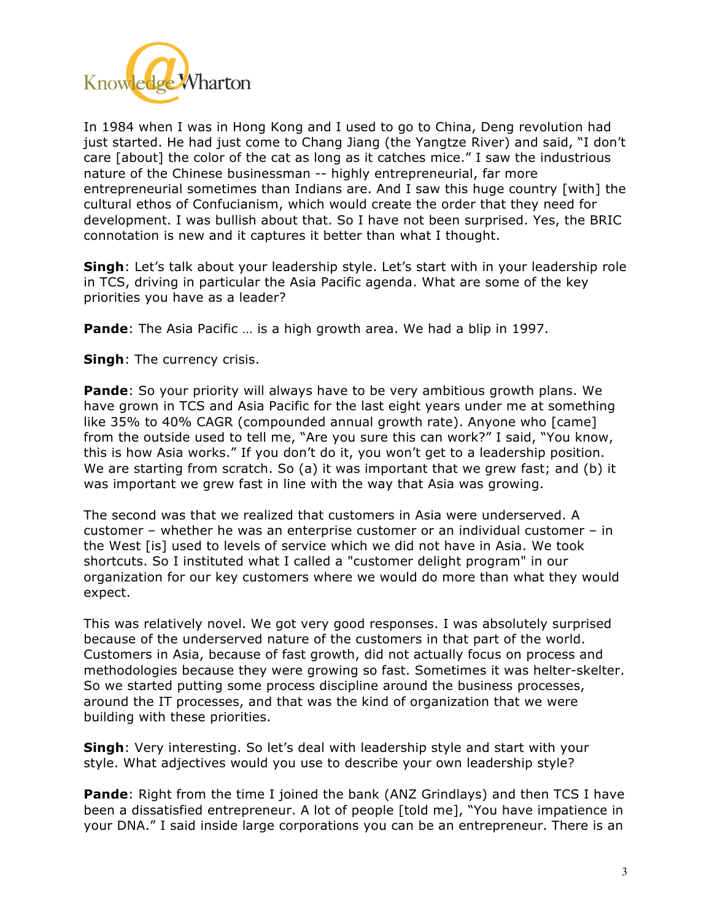

In 1984 when I was in Hong Kong and I used to go to China, Deng revolution had just started. He had just come to Chang Jiang (the Yangtze River) and said, "I don't care [about] the color of the cat as long as it catches mice." I saw the industrious nature of the Chinese businessman -- highly entrepreneurial, far more entrepreneurial sometimes than Indians are. And I saw this huge country [with] the cultural ethos of Confucianism, which would create the order that they need for development. I was bullish about that. So I have not been surprised. Yes, the BRIC connotation is new and it captures it better than what I thought.

**Singh**: Let's talk about your leadership style. Let's start with in your leadership role in TCS, driving in particular the Asia Pacific agenda. What are some of the key priorities you have as a leader?

**Pande**: The Asia Pacific … is a high growth area. We had a blip in 1997.

**Singh**: The currency crisis.

**Pande**: So your priority will always have to be very ambitious growth plans. We have grown in TCS and Asia Pacific for the last eight years under me at something like 35% to 40% CAGR (compounded annual growth rate). Anyone who [came] from the outside used to tell me, "Are you sure this can work?" I said, "You know, this is how Asia works." If you don't do it, you won't get to a leadership position. We are starting from scratch. So (a) it was important that we grew fast; and (b) it was important we grew fast in line with the way that Asia was growing.

The second was that we realized that customers in Asia were underserved. A customer – whether he was an enterprise customer or an individual customer – in the West [is] used to levels of service which we did not have in Asia. We took shortcuts. So I instituted what I called a "customer delight program" in our organization for our key customers where we would do more than what they would expect.

This was relatively novel. We got very good responses. I was absolutely surprised because of the underserved nature of the customers in that part of the world. Customers in Asia, because of fast growth, did not actually focus on process and methodologies because they were growing so fast. Sometimes it was helter-skelter. So we started putting some process discipline around the business processes, around the IT processes, and that was the kind of organization that we were building with these priorities.

**Singh**: Very interesting. So let's deal with leadership style and start with your style. What adjectives would you use to describe your own leadership style?

**Pande**: Right from the time I joined the bank (ANZ Grindlays) and then TCS I have been a dissatisfied entrepreneur. A lot of people [told me], "You have impatience in your DNA." I said inside large corporations you can be an entrepreneur. There is an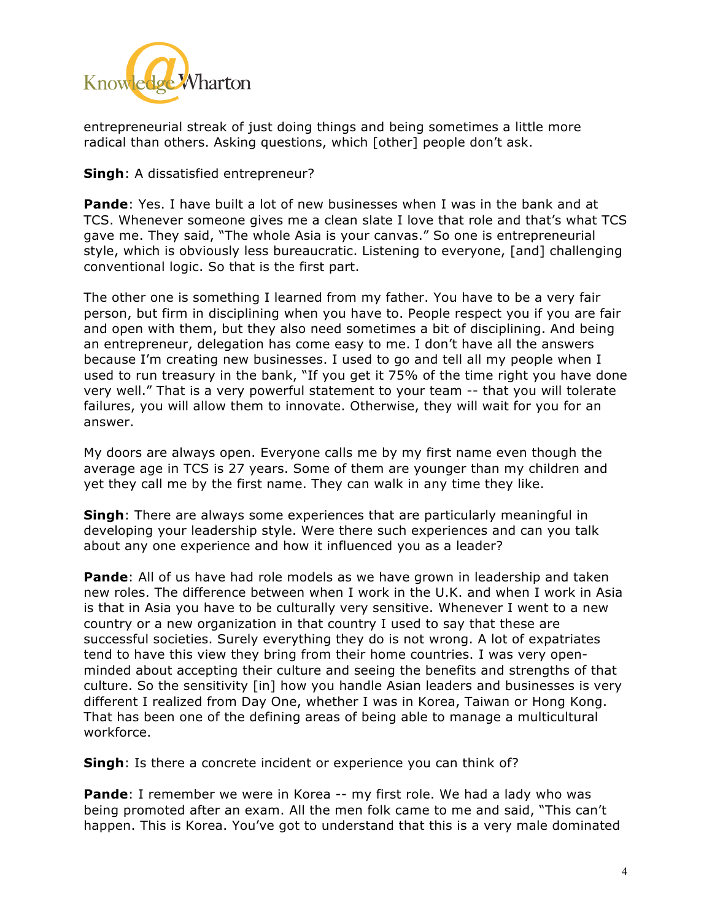

entrepreneurial streak of just doing things and being sometimes a little more radical than others. Asking questions, which [other] people don't ask.

## **Singh**: A dissatisfied entrepreneur?

**Pande**: Yes. I have built a lot of new businesses when I was in the bank and at TCS. Whenever someone gives me a clean slate I love that role and that's what TCS gave me. They said, "The whole Asia is your canvas." So one is entrepreneurial style, which is obviously less bureaucratic. Listening to everyone, [and] challenging conventional logic. So that is the first part.

The other one is something I learned from my father. You have to be a very fair person, but firm in disciplining when you have to. People respect you if you are fair and open with them, but they also need sometimes a bit of disciplining. And being an entrepreneur, delegation has come easy to me. I don't have all the answers because I'm creating new businesses. I used to go and tell all my people when I used to run treasury in the bank, "If you get it 75% of the time right you have done very well." That is a very powerful statement to your team -- that you will tolerate failures, you will allow them to innovate. Otherwise, they will wait for you for an answer.

My doors are always open. Everyone calls me by my first name even though the average age in TCS is 27 years. Some of them are younger than my children and yet they call me by the first name. They can walk in any time they like.

**Singh**: There are always some experiences that are particularly meaningful in developing your leadership style. Were there such experiences and can you talk about any one experience and how it influenced you as a leader?

**Pande**: All of us have had role models as we have grown in leadership and taken new roles. The difference between when I work in the U.K. and when I work in Asia is that in Asia you have to be culturally very sensitive. Whenever I went to a new country or a new organization in that country I used to say that these are successful societies. Surely everything they do is not wrong. A lot of expatriates tend to have this view they bring from their home countries. I was very openminded about accepting their culture and seeing the benefits and strengths of that culture. So the sensitivity [in] how you handle Asian leaders and businesses is very different I realized from Day One, whether I was in Korea, Taiwan or Hong Kong. That has been one of the defining areas of being able to manage a multicultural workforce.

**Singh**: Is there a concrete incident or experience you can think of?

**Pande**: I remember we were in Korea -- my first role. We had a lady who was being promoted after an exam. All the men folk came to me and said, "This can't happen. This is Korea. You've got to understand that this is a very male dominated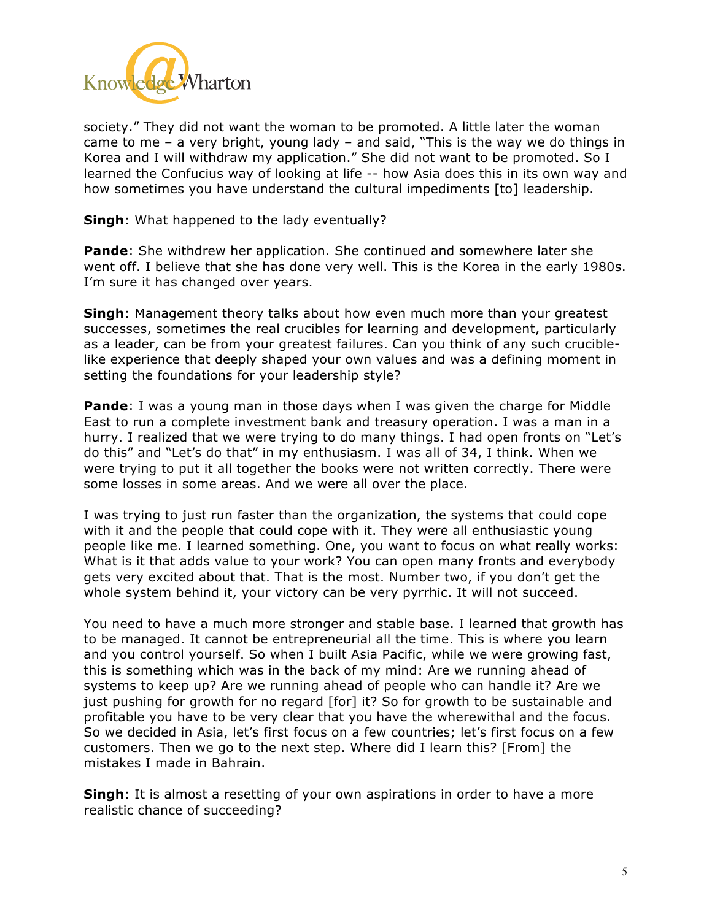

society." They did not want the woman to be promoted. A little later the woman came to me – a very bright, young lady – and said, "This is the way we do things in Korea and I will withdraw my application." She did not want to be promoted. So I learned the Confucius way of looking at life -- how Asia does this in its own way and how sometimes you have understand the cultural impediments [to] leadership.

**Singh**: What happened to the lady eventually?

**Pande**: She withdrew her application. She continued and somewhere later she went off. I believe that she has done very well. This is the Korea in the early 1980s. I'm sure it has changed over years.

**Singh**: Management theory talks about how even much more than your greatest successes, sometimes the real crucibles for learning and development, particularly as a leader, can be from your greatest failures. Can you think of any such cruciblelike experience that deeply shaped your own values and was a defining moment in setting the foundations for your leadership style?

**Pande**: I was a young man in those days when I was given the charge for Middle East to run a complete investment bank and treasury operation. I was a man in a hurry. I realized that we were trying to do many things. I had open fronts on "Let's do this" and "Let's do that" in my enthusiasm. I was all of 34, I think. When we were trying to put it all together the books were not written correctly. There were some losses in some areas. And we were all over the place.

I was trying to just run faster than the organization, the systems that could cope with it and the people that could cope with it. They were all enthusiastic young people like me. I learned something. One, you want to focus on what really works: What is it that adds value to your work? You can open many fronts and everybody gets very excited about that. That is the most. Number two, if you don't get the whole system behind it, your victory can be very pyrrhic. It will not succeed.

You need to have a much more stronger and stable base. I learned that growth has to be managed. It cannot be entrepreneurial all the time. This is where you learn and you control yourself. So when I built Asia Pacific, while we were growing fast, this is something which was in the back of my mind: Are we running ahead of systems to keep up? Are we running ahead of people who can handle it? Are we just pushing for growth for no regard [for] it? So for growth to be sustainable and profitable you have to be very clear that you have the wherewithal and the focus. So we decided in Asia, let's first focus on a few countries; let's first focus on a few customers. Then we go to the next step. Where did I learn this? [From] the mistakes I made in Bahrain.

**Singh**: It is almost a resetting of your own aspirations in order to have a more realistic chance of succeeding?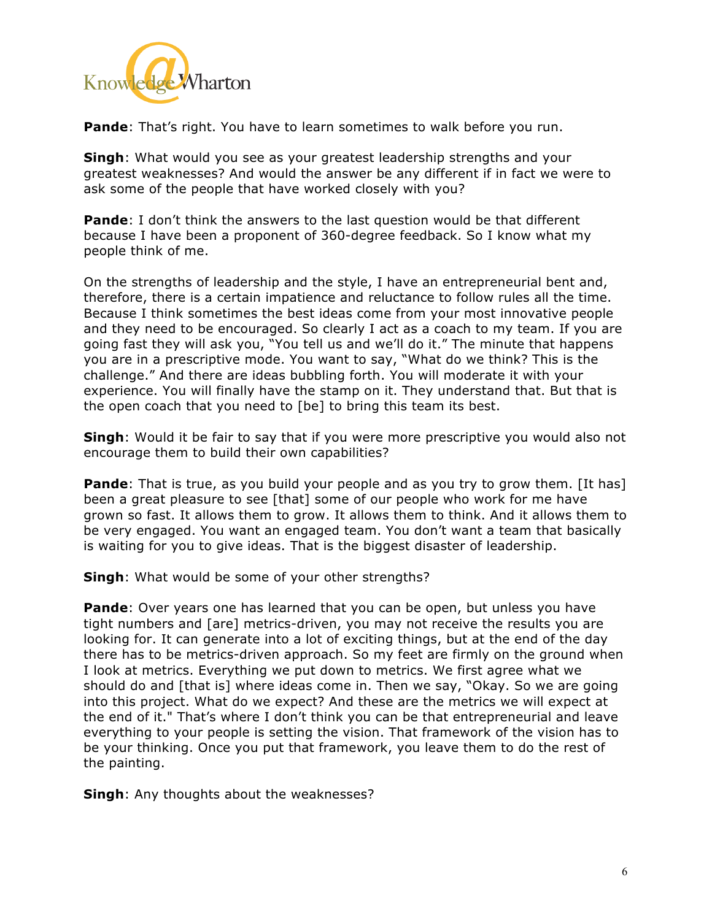

**Pande**: That's right. You have to learn sometimes to walk before you run.

**Singh**: What would you see as your greatest leadership strengths and your greatest weaknesses? And would the answer be any different if in fact we were to ask some of the people that have worked closely with you?

**Pande**: I don't think the answers to the last question would be that different because I have been a proponent of 360-degree feedback. So I know what my people think of me.

On the strengths of leadership and the style, I have an entrepreneurial bent and, therefore, there is a certain impatience and reluctance to follow rules all the time. Because I think sometimes the best ideas come from your most innovative people and they need to be encouraged. So clearly I act as a coach to my team. If you are going fast they will ask you, "You tell us and we'll do it." The minute that happens you are in a prescriptive mode. You want to say, "What do we think? This is the challenge." And there are ideas bubbling forth. You will moderate it with your experience. You will finally have the stamp on it. They understand that. But that is the open coach that you need to [be] to bring this team its best.

**Singh**: Would it be fair to say that if you were more prescriptive you would also not encourage them to build their own capabilities?

**Pande**: That is true, as you build your people and as you try to grow them. [It has] been a great pleasure to see [that] some of our people who work for me have grown so fast. It allows them to grow. It allows them to think. And it allows them to be very engaged. You want an engaged team. You don't want a team that basically is waiting for you to give ideas. That is the biggest disaster of leadership.

**Singh**: What would be some of your other strengths?

**Pande**: Over years one has learned that you can be open, but unless you have tight numbers and [are] metrics-driven, you may not receive the results you are looking for. It can generate into a lot of exciting things, but at the end of the day there has to be metrics-driven approach. So my feet are firmly on the ground when I look at metrics. Everything we put down to metrics. We first agree what we should do and [that is] where ideas come in. Then we say, "Okay. So we are going into this project. What do we expect? And these are the metrics we will expect at the end of it." That's where I don't think you can be that entrepreneurial and leave everything to your people is setting the vision. That framework of the vision has to be your thinking. Once you put that framework, you leave them to do the rest of the painting.

**Singh**: Any thoughts about the weaknesses?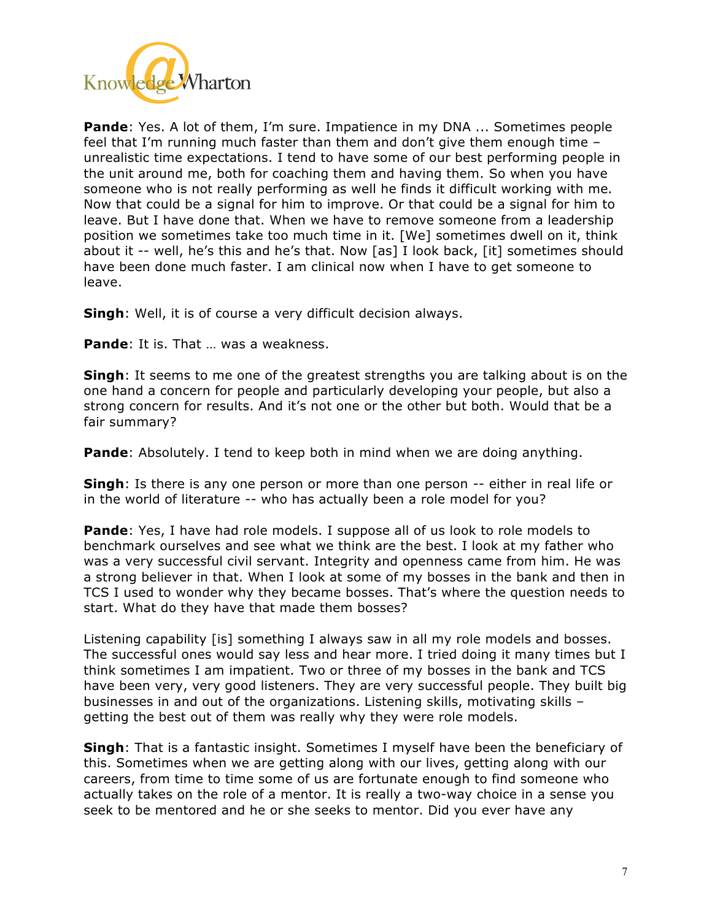

**Pande**: Yes. A lot of them, I'm sure. Impatience in my DNA ... Sometimes people feel that I'm running much faster than them and don't give them enough time – unrealistic time expectations. I tend to have some of our best performing people in the unit around me, both for coaching them and having them. So when you have someone who is not really performing as well he finds it difficult working with me. Now that could be a signal for him to improve. Or that could be a signal for him to leave. But I have done that. When we have to remove someone from a leadership position we sometimes take too much time in it. [We] sometimes dwell on it, think about it -- well, he's this and he's that. Now [as] I look back, [it] sometimes should have been done much faster. I am clinical now when I have to get someone to leave.

**Singh**: Well, it is of course a very difficult decision always.

**Pande**: It is. That … was a weakness.

**Singh**: It seems to me one of the greatest strengths you are talking about is on the one hand a concern for people and particularly developing your people, but also a strong concern for results. And it's not one or the other but both. Would that be a fair summary?

**Pande**: Absolutely. I tend to keep both in mind when we are doing anything.

**Singh**: Is there is any one person or more than one person -- either in real life or in the world of literature -- who has actually been a role model for you?

**Pande**: Yes, I have had role models. I suppose all of us look to role models to benchmark ourselves and see what we think are the best. I look at my father who was a very successful civil servant. Integrity and openness came from him. He was a strong believer in that. When I look at some of my bosses in the bank and then in TCS I used to wonder why they became bosses. That's where the question needs to start. What do they have that made them bosses?

Listening capability [is] something I always saw in all my role models and bosses. The successful ones would say less and hear more. I tried doing it many times but I think sometimes I am impatient. Two or three of my bosses in the bank and TCS have been very, very good listeners. They are very successful people. They built big businesses in and out of the organizations. Listening skills, motivating skills – getting the best out of them was really why they were role models.

**Singh**: That is a fantastic insight. Sometimes I myself have been the beneficiary of this. Sometimes when we are getting along with our lives, getting along with our careers, from time to time some of us are fortunate enough to find someone who actually takes on the role of a mentor. It is really a two-way choice in a sense you seek to be mentored and he or she seeks to mentor. Did you ever have any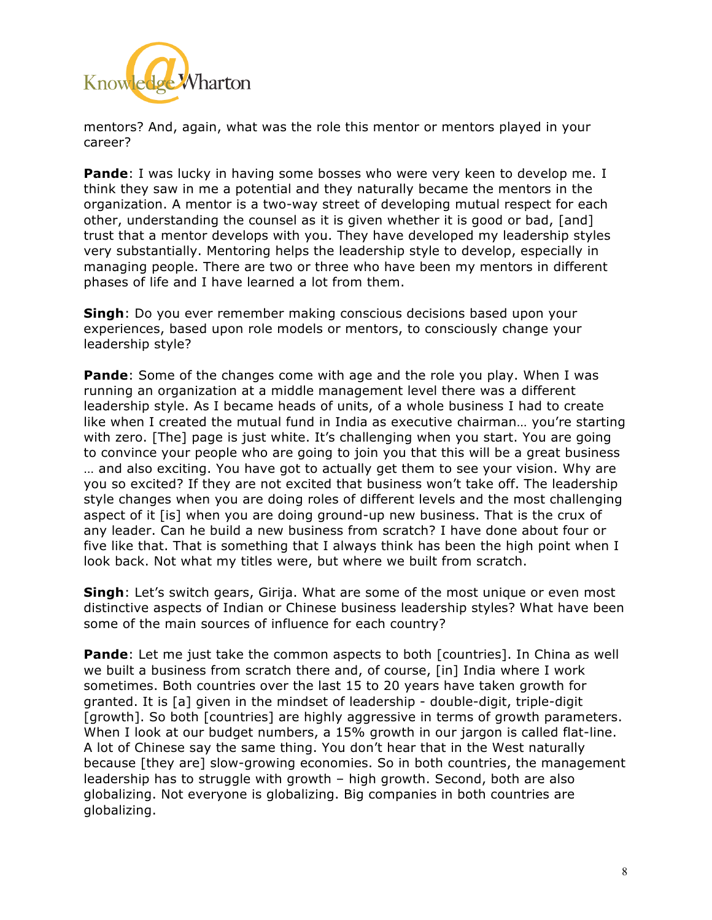

mentors? And, again, what was the role this mentor or mentors played in your career?

**Pande**: I was lucky in having some bosses who were very keen to develop me. I think they saw in me a potential and they naturally became the mentors in the organization. A mentor is a two-way street of developing mutual respect for each other, understanding the counsel as it is given whether it is good or bad, [and] trust that a mentor develops with you. They have developed my leadership styles very substantially. Mentoring helps the leadership style to develop, especially in managing people. There are two or three who have been my mentors in different phases of life and I have learned a lot from them.

**Singh**: Do you ever remember making conscious decisions based upon your experiences, based upon role models or mentors, to consciously change your leadership style?

**Pande**: Some of the changes come with age and the role you play. When I was running an organization at a middle management level there was a different leadership style. As I became heads of units, of a whole business I had to create like when I created the mutual fund in India as executive chairman… you're starting with zero. [The] page is just white. It's challenging when you start. You are going to convince your people who are going to join you that this will be a great business … and also exciting. You have got to actually get them to see your vision. Why are you so excited? If they are not excited that business won't take off. The leadership style changes when you are doing roles of different levels and the most challenging aspect of it [is] when you are doing ground-up new business. That is the crux of any leader. Can he build a new business from scratch? I have done about four or five like that. That is something that I always think has been the high point when I look back. Not what my titles were, but where we built from scratch.

**Singh**: Let's switch gears, Girija. What are some of the most unique or even most distinctive aspects of Indian or Chinese business leadership styles? What have been some of the main sources of influence for each country?

**Pande**: Let me just take the common aspects to both [countries]. In China as well we built a business from scratch there and, of course, [in] India where I work sometimes. Both countries over the last 15 to 20 years have taken growth for granted. It is [a] given in the mindset of leadership - double-digit, triple-digit [growth]. So both [countries] are highly aggressive in terms of growth parameters. When I look at our budget numbers, a 15% growth in our jargon is called flat-line. A lot of Chinese say the same thing. You don't hear that in the West naturally because [they are] slow-growing economies. So in both countries, the management leadership has to struggle with growth – high growth. Second, both are also globalizing. Not everyone is globalizing. Big companies in both countries are globalizing.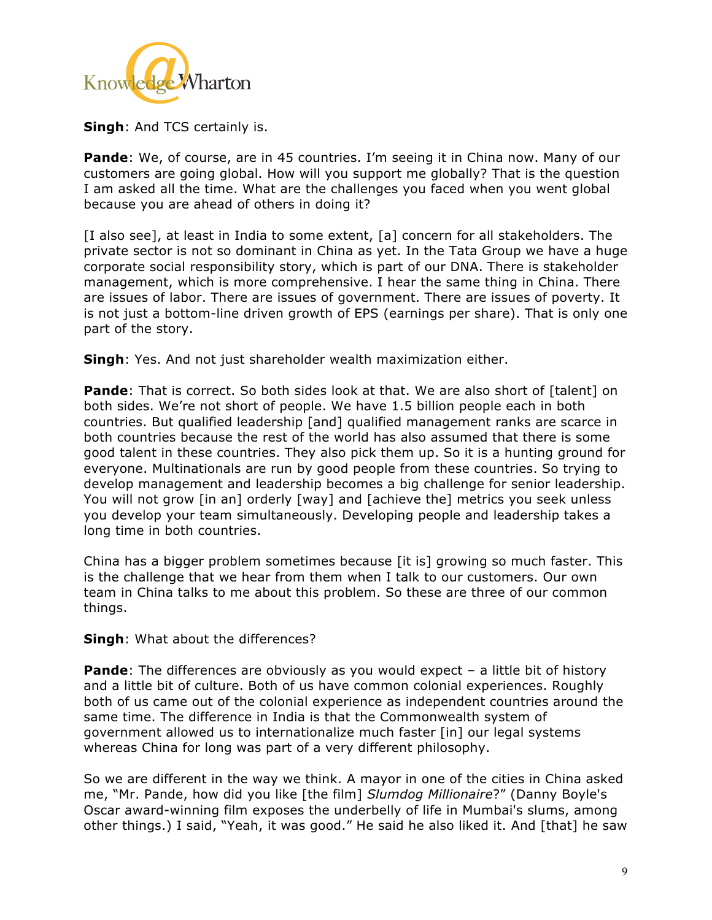

**Singh**: And TCS certainly is.

**Pande**: We, of course, are in 45 countries. I'm seeing it in China now. Many of our customers are going global. How will you support me globally? That is the question I am asked all the time. What are the challenges you faced when you went global because you are ahead of others in doing it?

[I also see], at least in India to some extent, [a] concern for all stakeholders. The private sector is not so dominant in China as yet. In the Tata Group we have a huge corporate social responsibility story, which is part of our DNA. There is stakeholder management, which is more comprehensive. I hear the same thing in China. There are issues of labor. There are issues of government. There are issues of poverty. It is not just a bottom-line driven growth of EPS (earnings per share). That is only one part of the story.

**Singh**: Yes. And not just shareholder wealth maximization either.

**Pande**: That is correct. So both sides look at that. We are also short of [talent] on both sides. We're not short of people. We have 1.5 billion people each in both countries. But qualified leadership [and] qualified management ranks are scarce in both countries because the rest of the world has also assumed that there is some good talent in these countries. They also pick them up. So it is a hunting ground for everyone. Multinationals are run by good people from these countries. So trying to develop management and leadership becomes a big challenge for senior leadership. You will not grow [in an] orderly [way] and [achieve the] metrics you seek unless you develop your team simultaneously. Developing people and leadership takes a long time in both countries.

China has a bigger problem sometimes because [it is] growing so much faster. This is the challenge that we hear from them when I talk to our customers. Our own team in China talks to me about this problem. So these are three of our common things.

**Singh**: What about the differences?

**Pande**: The differences are obviously as you would expect – a little bit of history and a little bit of culture. Both of us have common colonial experiences. Roughly both of us came out of the colonial experience as independent countries around the same time. The difference in India is that the Commonwealth system of government allowed us to internationalize much faster [in] our legal systems whereas China for long was part of a very different philosophy.

So we are different in the way we think. A mayor in one of the cities in China asked me, "Mr. Pande, how did you like [the film] *Slumdog Millionaire*?" (Danny Boyle's Oscar award-winning film exposes the underbelly of life in Mumbai's slums, among other things.) I said, "Yeah, it was good." He said he also liked it. And [that] he saw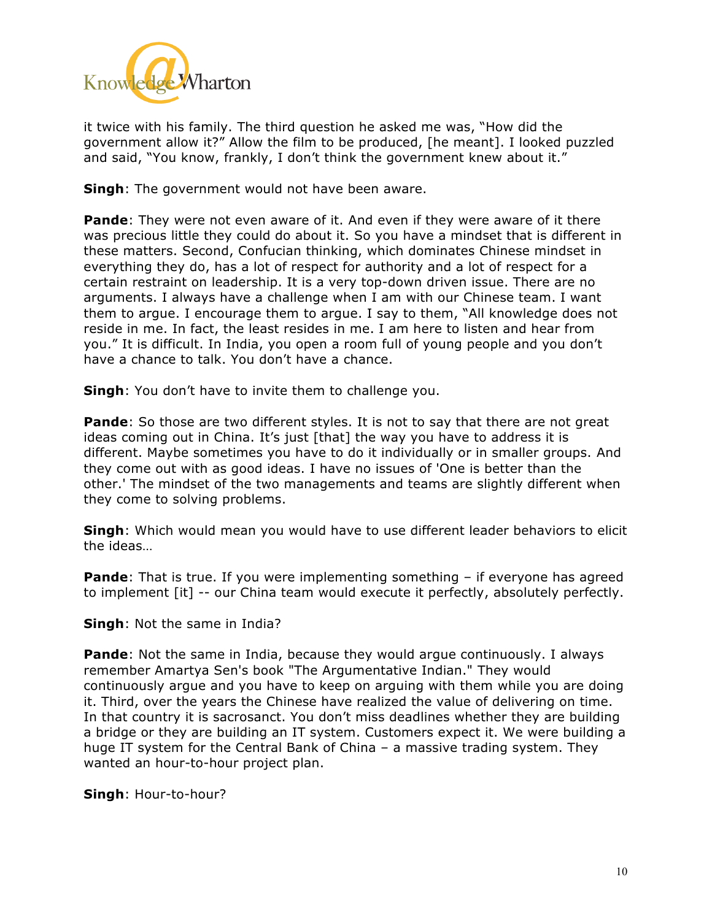

it twice with his family. The third question he asked me was, "How did the government allow it?" Allow the film to be produced, [he meant]. I looked puzzled and said, "You know, frankly, I don't think the government knew about it."

**Singh**: The government would not have been aware.

**Pande**: They were not even aware of it. And even if they were aware of it there was precious little they could do about it. So you have a mindset that is different in these matters. Second, Confucian thinking, which dominates Chinese mindset in everything they do, has a lot of respect for authority and a lot of respect for a certain restraint on leadership. It is a very top-down driven issue. There are no arguments. I always have a challenge when I am with our Chinese team. I want them to argue. I encourage them to argue. I say to them, "All knowledge does not reside in me. In fact, the least resides in me. I am here to listen and hear from you." It is difficult. In India, you open a room full of young people and you don't have a chance to talk. You don't have a chance.

**Singh**: You don't have to invite them to challenge you.

**Pande**: So those are two different styles. It is not to say that there are not great ideas coming out in China. It's just [that] the way you have to address it is different. Maybe sometimes you have to do it individually or in smaller groups. And they come out with as good ideas. I have no issues of 'One is better than the other.' The mindset of the two managements and teams are slightly different when they come to solving problems.

**Singh**: Which would mean you would have to use different leader behaviors to elicit the ideas…

**Pande**: That is true. If you were implementing something – if everyone has agreed to implement [it] -- our China team would execute it perfectly, absolutely perfectly.

**Singh**: Not the same in India?

**Pande**: Not the same in India, because they would argue continuously. I always remember Amartya Sen's book "The Argumentative Indian." They would continuously argue and you have to keep on arguing with them while you are doing it. Third, over the years the Chinese have realized the value of delivering on time. In that country it is sacrosanct. You don't miss deadlines whether they are building a bridge or they are building an IT system. Customers expect it. We were building a huge IT system for the Central Bank of China – a massive trading system. They wanted an hour-to-hour project plan.

**Singh**: Hour-to-hour?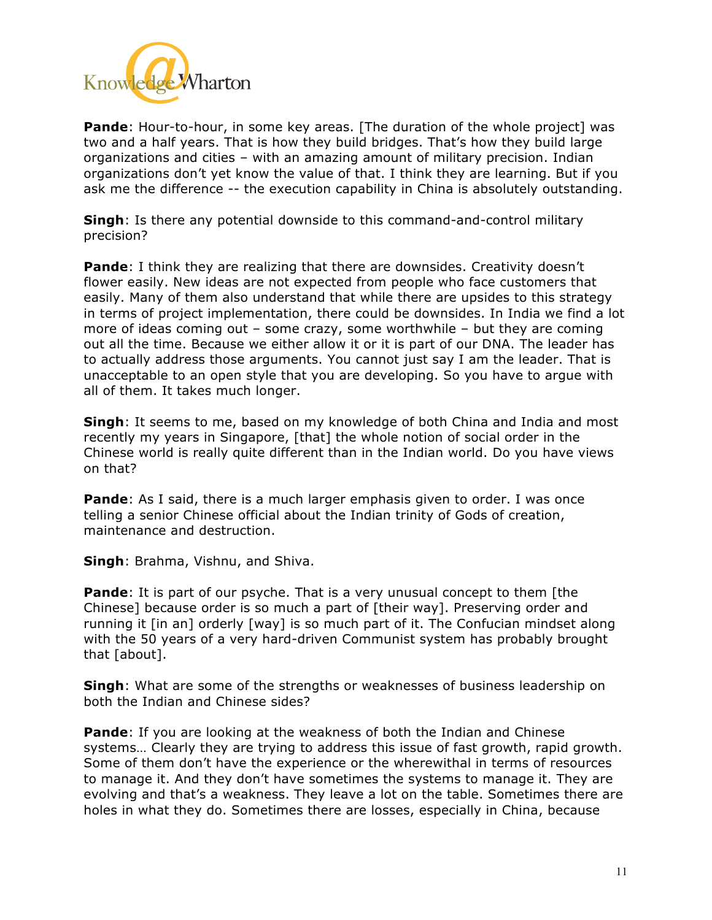

**Pande**: Hour-to-hour, in some key areas. [The duration of the whole project] was two and a half years. That is how they build bridges. That's how they build large organizations and cities – with an amazing amount of military precision. Indian organizations don't yet know the value of that. I think they are learning. But if you ask me the difference -- the execution capability in China is absolutely outstanding.

**Singh**: Is there any potential downside to this command-and-control military precision?

**Pande**: I think they are realizing that there are downsides. Creativity doesn't flower easily. New ideas are not expected from people who face customers that easily. Many of them also understand that while there are upsides to this strategy in terms of project implementation, there could be downsides. In India we find a lot more of ideas coming out – some crazy, some worthwhile – but they are coming out all the time. Because we either allow it or it is part of our DNA. The leader has to actually address those arguments. You cannot just say I am the leader. That is unacceptable to an open style that you are developing. So you have to argue with all of them. It takes much longer.

**Singh**: It seems to me, based on my knowledge of both China and India and most recently my years in Singapore, [that] the whole notion of social order in the Chinese world is really quite different than in the Indian world. Do you have views on that?

**Pande**: As I said, there is a much larger emphasis given to order. I was once telling a senior Chinese official about the Indian trinity of Gods of creation, maintenance and destruction.

**Singh**: Brahma, Vishnu, and Shiva.

**Pande**: It is part of our psyche. That is a very unusual concept to them [the Chinese] because order is so much a part of [their way]. Preserving order and running it [in an] orderly [way] is so much part of it. The Confucian mindset along with the 50 years of a very hard-driven Communist system has probably brought that [about].

**Singh**: What are some of the strengths or weaknesses of business leadership on both the Indian and Chinese sides?

**Pande**: If you are looking at the weakness of both the Indian and Chinese systems… Clearly they are trying to address this issue of fast growth, rapid growth. Some of them don't have the experience or the wherewithal in terms of resources to manage it. And they don't have sometimes the systems to manage it. They are evolving and that's a weakness. They leave a lot on the table. Sometimes there are holes in what they do. Sometimes there are losses, especially in China, because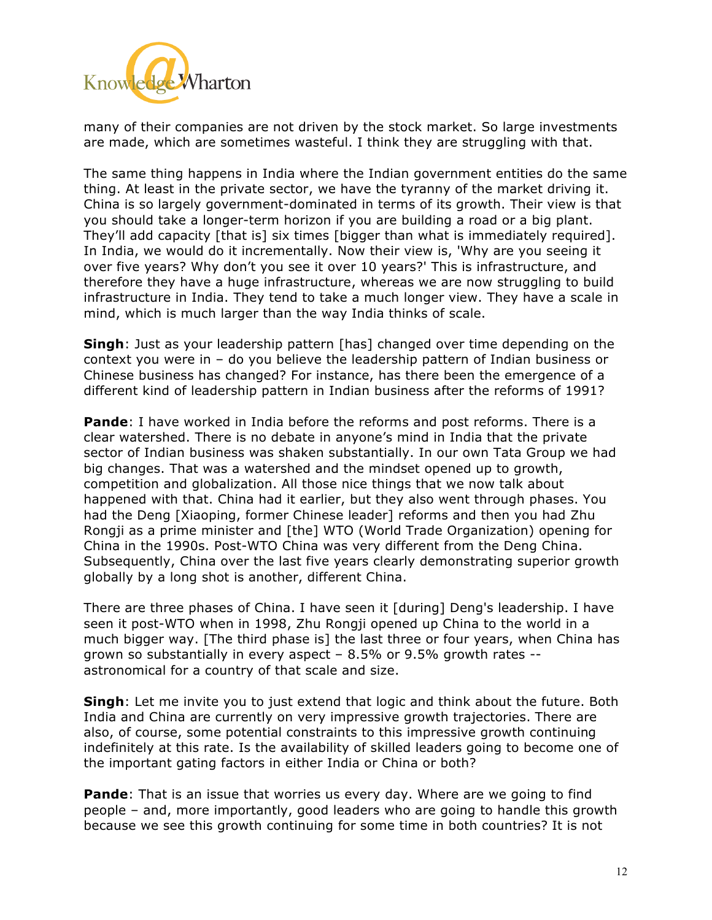

many of their companies are not driven by the stock market. So large investments are made, which are sometimes wasteful. I think they are struggling with that.

The same thing happens in India where the Indian government entities do the same thing. At least in the private sector, we have the tyranny of the market driving it. China is so largely government-dominated in terms of its growth. Their view is that you should take a longer-term horizon if you are building a road or a big plant. They'll add capacity [that is] six times [bigger than what is immediately required]. In India, we would do it incrementally. Now their view is, 'Why are you seeing it over five years? Why don't you see it over 10 years?' This is infrastructure, and therefore they have a huge infrastructure, whereas we are now struggling to build infrastructure in India. They tend to take a much longer view. They have a scale in mind, which is much larger than the way India thinks of scale.

**Singh**: Just as your leadership pattern [has] changed over time depending on the context you were in – do you believe the leadership pattern of Indian business or Chinese business has changed? For instance, has there been the emergence of a different kind of leadership pattern in Indian business after the reforms of 1991?

**Pande**: I have worked in India before the reforms and post reforms. There is a clear watershed. There is no debate in anyone's mind in India that the private sector of Indian business was shaken substantially. In our own Tata Group we had big changes. That was a watershed and the mindset opened up to growth, competition and globalization. All those nice things that we now talk about happened with that. China had it earlier, but they also went through phases. You had the Deng [Xiaoping, former Chinese leader] reforms and then you had Zhu Rongji as a prime minister and [the] WTO (World Trade Organization) opening for China in the 1990s. Post-WTO China was very different from the Deng China. Subsequently, China over the last five years clearly demonstrating superior growth globally by a long shot is another, different China.

There are three phases of China. I have seen it [during] Deng's leadership. I have seen it post-WTO when in 1998, Zhu Rongji opened up China to the world in a much bigger way. [The third phase is] the last three or four years, when China has grown so substantially in every aspect  $-8.5\%$  or 9.5% growth rates  $$ astronomical for a country of that scale and size.

**Singh**: Let me invite you to just extend that logic and think about the future. Both India and China are currently on very impressive growth trajectories. There are also, of course, some potential constraints to this impressive growth continuing indefinitely at this rate. Is the availability of skilled leaders going to become one of the important gating factors in either India or China or both?

**Pande**: That is an issue that worries us every day. Where are we going to find people – and, more importantly, good leaders who are going to handle this growth because we see this growth continuing for some time in both countries? It is not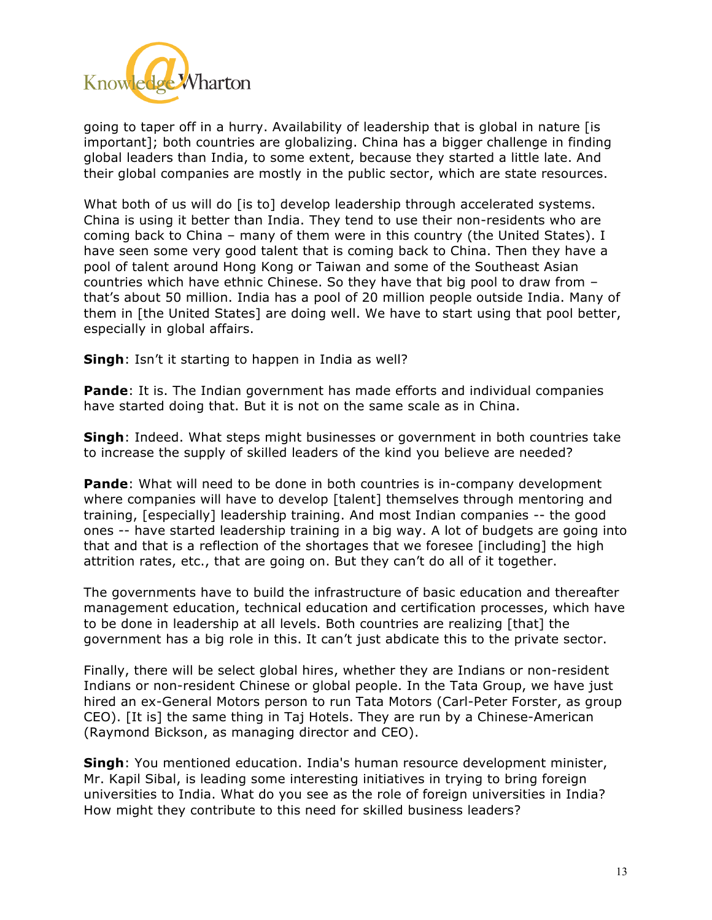

going to taper off in a hurry. Availability of leadership that is global in nature [is important]; both countries are globalizing. China has a bigger challenge in finding global leaders than India, to some extent, because they started a little late. And their global companies are mostly in the public sector, which are state resources.

What both of us will do [is to] develop leadership through accelerated systems. China is using it better than India. They tend to use their non-residents who are coming back to China – many of them were in this country (the United States). I have seen some very good talent that is coming back to China. Then they have a pool of talent around Hong Kong or Taiwan and some of the Southeast Asian countries which have ethnic Chinese. So they have that big pool to draw from – that's about 50 million. India has a pool of 20 million people outside India. Many of them in [the United States] are doing well. We have to start using that pool better, especially in global affairs.

**Singh**: Isn't it starting to happen in India as well?

**Pande**: It is. The Indian government has made efforts and individual companies have started doing that. But it is not on the same scale as in China.

**Singh**: Indeed. What steps might businesses or government in both countries take to increase the supply of skilled leaders of the kind you believe are needed?

**Pande**: What will need to be done in both countries is in-company development where companies will have to develop [talent] themselves through mentoring and training, [especially] leadership training. And most Indian companies -- the good ones -- have started leadership training in a big way. A lot of budgets are going into that and that is a reflection of the shortages that we foresee [including] the high attrition rates, etc., that are going on. But they can't do all of it together.

The governments have to build the infrastructure of basic education and thereafter management education, technical education and certification processes, which have to be done in leadership at all levels. Both countries are realizing [that] the government has a big role in this. It can't just abdicate this to the private sector.

Finally, there will be select global hires, whether they are Indians or non-resident Indians or non-resident Chinese or global people. In the Tata Group, we have just hired an ex-General Motors person to run Tata Motors (Carl-Peter Forster, as group CEO). [It is] the same thing in Taj Hotels. They are run by a Chinese-American (Raymond Bickson, as managing director and CEO).

**Singh**: You mentioned education. India's human resource development minister, Mr. Kapil Sibal, is leading some interesting initiatives in trying to bring foreign universities to India. What do you see as the role of foreign universities in India? How might they contribute to this need for skilled business leaders?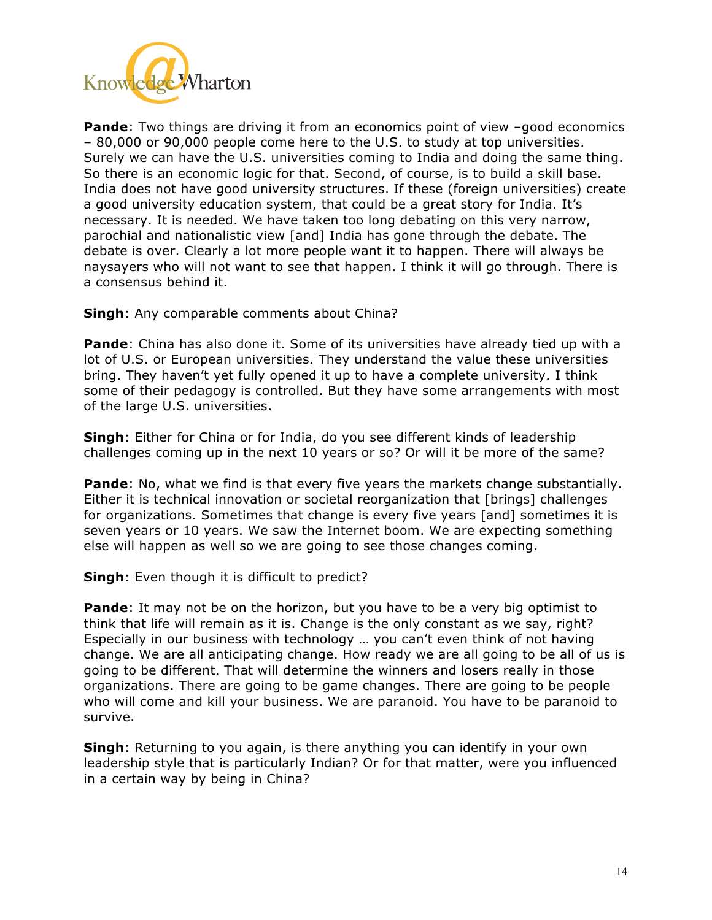

**Pande:** Two things are driving it from an economics point of view -good economics – 80,000 or 90,000 people come here to the U.S. to study at top universities. Surely we can have the U.S. universities coming to India and doing the same thing. So there is an economic logic for that. Second, of course, is to build a skill base. India does not have good university structures. If these (foreign universities) create a good university education system, that could be a great story for India. It's necessary. It is needed. We have taken too long debating on this very narrow, parochial and nationalistic view [and] India has gone through the debate. The debate is over. Clearly a lot more people want it to happen. There will always be naysayers who will not want to see that happen. I think it will go through. There is a consensus behind it.

## **Singh**: Any comparable comments about China?

**Pande**: China has also done it. Some of its universities have already tied up with a lot of U.S. or European universities. They understand the value these universities bring. They haven't yet fully opened it up to have a complete university. I think some of their pedagogy is controlled. But they have some arrangements with most of the large U.S. universities.

**Singh**: Either for China or for India, do you see different kinds of leadership challenges coming up in the next 10 years or so? Or will it be more of the same?

**Pande**: No, what we find is that every five years the markets change substantially. Either it is technical innovation or societal reorganization that [brings] challenges for organizations. Sometimes that change is every five years [and] sometimes it is seven years or 10 years. We saw the Internet boom. We are expecting something else will happen as well so we are going to see those changes coming.

## **Singh:** Even though it is difficult to predict?

**Pande**: It may not be on the horizon, but you have to be a very big optimist to think that life will remain as it is. Change is the only constant as we say, right? Especially in our business with technology … you can't even think of not having change. We are all anticipating change. How ready we are all going to be all of us is going to be different. That will determine the winners and losers really in those organizations. There are going to be game changes. There are going to be people who will come and kill your business. We are paranoid. You have to be paranoid to survive.

**Singh**: Returning to you again, is there anything you can identify in your own leadership style that is particularly Indian? Or for that matter, were you influenced in a certain way by being in China?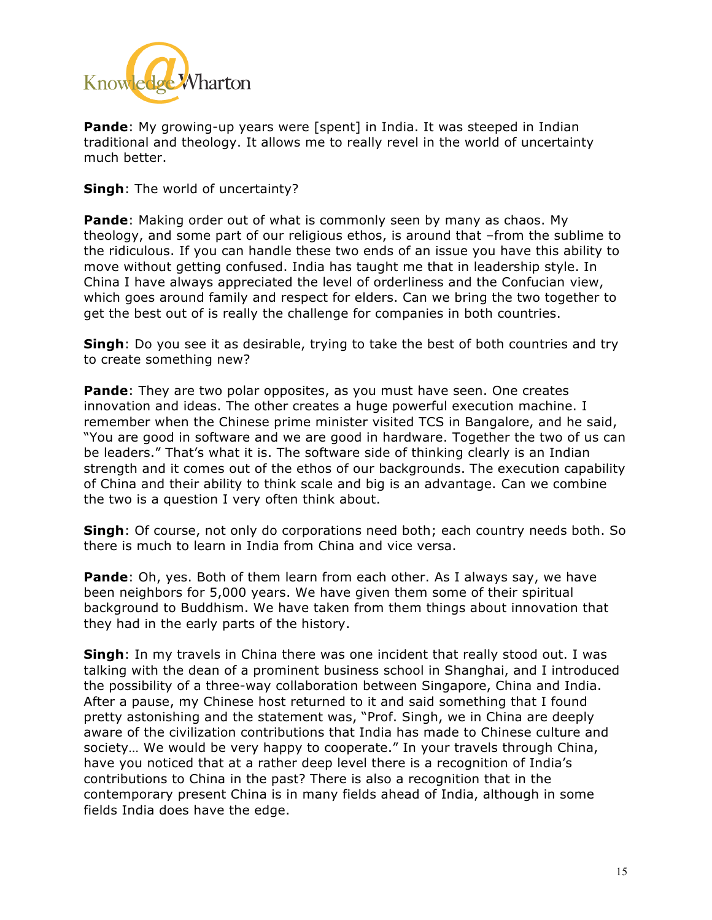

**Pande**: My growing-up years were [spent] in India. It was steeped in Indian traditional and theology. It allows me to really revel in the world of uncertainty much better.

**Singh**: The world of uncertainty?

**Pande**: Making order out of what is commonly seen by many as chaos. My theology, and some part of our religious ethos, is around that –from the sublime to the ridiculous. If you can handle these two ends of an issue you have this ability to move without getting confused. India has taught me that in leadership style. In China I have always appreciated the level of orderliness and the Confucian view, which goes around family and respect for elders. Can we bring the two together to get the best out of is really the challenge for companies in both countries.

**Singh**: Do you see it as desirable, trying to take the best of both countries and try to create something new?

**Pande**: They are two polar opposites, as you must have seen. One creates innovation and ideas. The other creates a huge powerful execution machine. I remember when the Chinese prime minister visited TCS in Bangalore, and he said, "You are good in software and we are good in hardware. Together the two of us can be leaders." That's what it is. The software side of thinking clearly is an Indian strength and it comes out of the ethos of our backgrounds. The execution capability of China and their ability to think scale and big is an advantage. Can we combine the two is a question I very often think about.

**Singh**: Of course, not only do corporations need both; each country needs both. So there is much to learn in India from China and vice versa.

**Pande**: Oh, yes. Both of them learn from each other. As I always say, we have been neighbors for 5,000 years. We have given them some of their spiritual background to Buddhism. We have taken from them things about innovation that they had in the early parts of the history.

**Singh**: In my travels in China there was one incident that really stood out. I was talking with the dean of a prominent business school in Shanghai, and I introduced the possibility of a three-way collaboration between Singapore, China and India. After a pause, my Chinese host returned to it and said something that I found pretty astonishing and the statement was, "Prof. Singh, we in China are deeply aware of the civilization contributions that India has made to Chinese culture and society… We would be very happy to cooperate." In your travels through China, have you noticed that at a rather deep level there is a recognition of India's contributions to China in the past? There is also a recognition that in the contemporary present China is in many fields ahead of India, although in some fields India does have the edge.